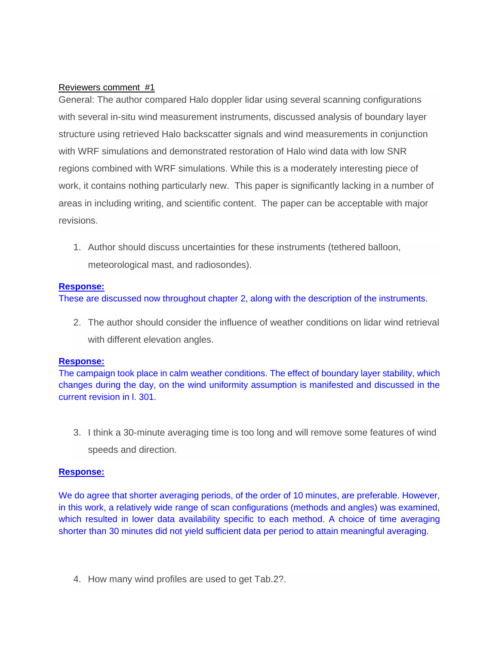# Reviewers comment #1

General: The author compared Halo doppler lidar using several scanning configurations with several in-situ wind measurement instruments, discussed analysis of boundary layer structure using retrieved Halo backscatter signals and wind measurements in conjunction with WRF simulations and demonstrated restoration of Halo wind data with low SNR regions combined with WRF simulations. While this is a moderately interesting piece of work, it contains nothing particularly new. This paper is significantly lacking in a number of areas in including writing, and scientific content. The paper can be acceptable with major revisions.

1. Author should discuss uncertainties for these instruments (tethered balloon, meteorological mast, and radiosondes).

### **Response:**

These are discussed now throughout chapter 2, along with the description of the instruments.

2. The author should consider the influence of weather conditions on lidar wind retrieval with different elevation angles.

# **Response:**

The campaign took place in calm weather conditions. The effect of boundary layer stability, which changes during the day, on the wind uniformity assumption is manifested and discussed in the current revision in l. 301.

3. I think a 30-minute averaging time is too long and will remove some features of wind speeds and direction.

# **Response:**

We do agree that shorter averaging periods, of the order of 10 minutes, are preferable. However, in this work, a relatively wide range of scan configurations (methods and angles) was examined, which resulted in lower data availability specific to each method. A choice of time averaging shorter than 30 minutes did not yield sufficient data per period to attain meaningful averaging.

4. How many wind profiles are used to get Tab.2?.